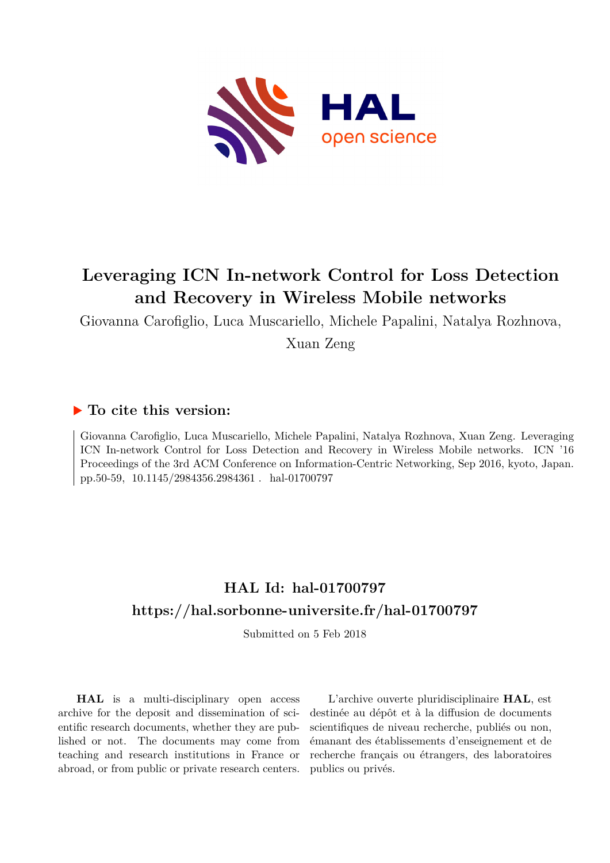

# **Leveraging ICN In-network Control for Loss Detection and Recovery in Wireless Mobile networks**

Giovanna Carofiglio, Luca Muscariello, Michele Papalini, Natalya Rozhnova,

Xuan Zeng

## **To cite this version:**

Giovanna Carofiglio, Luca Muscariello, Michele Papalini, Natalya Rozhnova, Xuan Zeng. Leveraging ICN In-network Control for Loss Detection and Recovery in Wireless Mobile networks. ICN '16 Proceedings of the 3rd ACM Conference on Information-Centric Networking, Sep 2016, kyoto, Japan. pp.50-59, 10.1145/2984356.2984361. hal-01700797

## **HAL Id: hal-01700797 <https://hal.sorbonne-universite.fr/hal-01700797>**

Submitted on 5 Feb 2018

**HAL** is a multi-disciplinary open access archive for the deposit and dissemination of scientific research documents, whether they are published or not. The documents may come from teaching and research institutions in France or abroad, or from public or private research centers.

L'archive ouverte pluridisciplinaire **HAL**, est destinée au dépôt et à la diffusion de documents scientifiques de niveau recherche, publiés ou non, émanant des établissements d'enseignement et de recherche français ou étrangers, des laboratoires publics ou privés.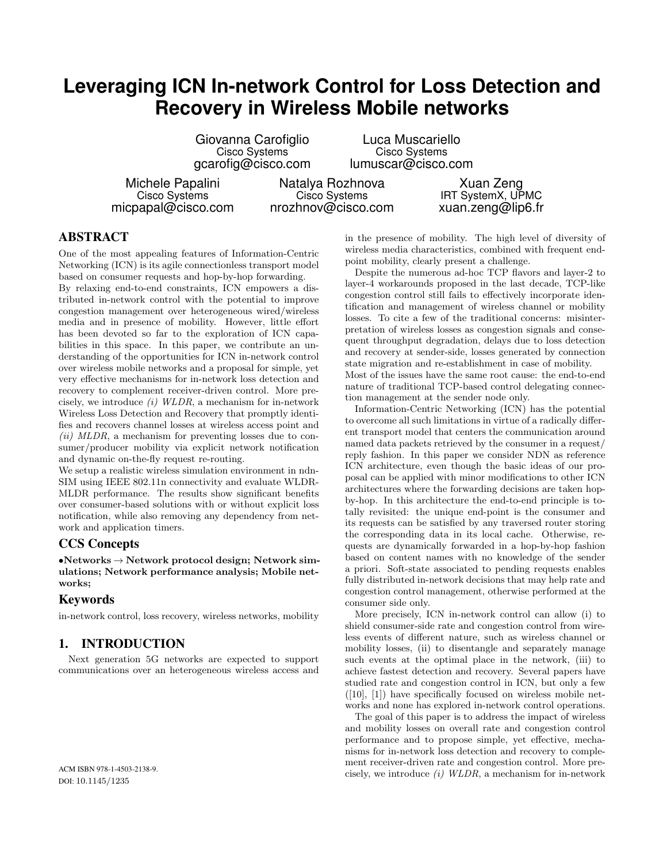## **Leveraging ICN In-network Control for Loss Detection and Recovery in Wireless Mobile networks**

Giovanna Carofiglio Cisco Systems gcarofig@cisco.com

Michele Papalini Cisco Systems micpapal@cisco.com

lumuscar@cisco.com Natalya Rozhnova Cisco Systems nrozhnov@cisco.com

Luca Muscariello Cisco Systems

> Xuan Zeng IRT SystemX, UPMC xuan.zeng@lip6.fr

## ABSTRACT

One of the most appealing features of Information-Centric Networking (ICN) is its agile connectionless transport model based on consumer requests and hop-by-hop forwarding.

By relaxing end-to-end constraints, ICN empowers a distributed in-network control with the potential to improve congestion management over heterogeneous wired/wireless media and in presence of mobility. However, little effort has been devoted so far to the exploration of ICN capabilities in this space. In this paper, we contribute an understanding of the opportunities for ICN in-network control over wireless mobile networks and a proposal for simple, yet very effective mechanisms for in-network loss detection and recovery to complement receiver-driven control. More precisely, we introduce  $(i)$  WLDR, a mechanism for in-network Wireless Loss Detection and Recovery that promptly identifies and recovers channel losses at wireless access point and  $(ii)$  MLDR, a mechanism for preventing losses due to consumer/producer mobility via explicit network notification and dynamic on-the-fly request re-routing.

We setup a realistic wireless simulation environment in ndn-SIM using IEEE 802.11n connectivity and evaluate WLDR-MLDR performance. The results show significant benefits over consumer-based solutions with or without explicit loss notification, while also removing any dependency from network and application timers.

#### CCS Concepts

 $\bullet$ Networks  $\rightarrow$  Network protocol design; Network simulations; Network performance analysis; Mobile networks;

#### Keywords

in-network control, loss recovery, wireless networks, mobility

## 1. INTRODUCTION

Next generation 5G networks are expected to support communications over an heterogeneous wireless access and in the presence of mobility. The high level of diversity of wireless media characteristics, combined with frequent endpoint mobility, clearly present a challenge.

Despite the numerous ad-hoc TCP flavors and layer-2 to layer-4 workarounds proposed in the last decade, TCP-like congestion control still fails to effectively incorporate identification and management of wireless channel or mobility losses. To cite a few of the traditional concerns: misinterpretation of wireless losses as congestion signals and consequent throughput degradation, delays due to loss detection and recovery at sender-side, losses generated by connection state migration and re-establishment in case of mobility. Most of the issues have the same root cause: the end-to-end nature of traditional TCP-based control delegating connec-

tion management at the sender node only.

Information-Centric Networking (ICN) has the potential to overcome all such limitations in virtue of a radically different transport model that centers the communication around named data packets retrieved by the consumer in a request/ reply fashion. In this paper we consider NDN as reference ICN architecture, even though the basic ideas of our proposal can be applied with minor modifications to other ICN architectures where the forwarding decisions are taken hopby-hop. In this architecture the end-to-end principle is totally revisited: the unique end-point is the consumer and its requests can be satisfied by any traversed router storing the corresponding data in its local cache. Otherwise, requests are dynamically forwarded in a hop-by-hop fashion based on content names with no knowledge of the sender a priori. Soft-state associated to pending requests enables fully distributed in-network decisions that may help rate and congestion control management, otherwise performed at the consumer side only.

More precisely, ICN in-network control can allow (i) to shield consumer-side rate and congestion control from wireless events of different nature, such as wireless channel or mobility losses, (ii) to disentangle and separately manage such events at the optimal place in the network, (iii) to achieve fastest detection and recovery. Several papers have studied rate and congestion control in ICN, but only a few  $([10], [1])$  have specifically focused on wireless mobile networks and none has explored in-network control operations.

The goal of this paper is to address the impact of wireless and mobility losses on overall rate and congestion control performance and to propose simple, yet effective, mechanisms for in-network loss detection and recovery to complement receiver-driven rate and congestion control. More precisely, we introduce (i) WLDR, a mechanism for in-network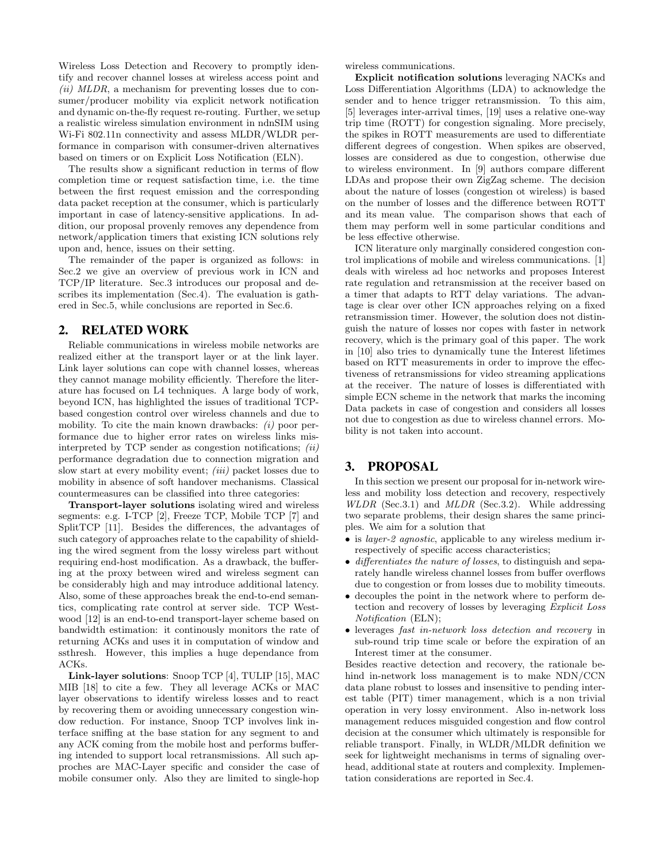Wireless Loss Detection and Recovery to promptly identify and recover channel losses at wireless access point and  $(ii) MLDR$ , a mechanism for preventing losses due to consumer/producer mobility via explicit network notification and dynamic on-the-fly request re-routing. Further, we setup a realistic wireless simulation environment in ndnSIM using Wi-Fi 802.11n connectivity and assess MLDR/WLDR performance in comparison with consumer-driven alternatives based on timers or on Explicit Loss Notification (ELN).

The results show a significant reduction in terms of flow completion time or request satisfaction time, i.e. the time between the first request emission and the corresponding data packet reception at the consumer, which is particularly important in case of latency-sensitive applications. In addition, our proposal provenly removes any dependence from network/application timers that existing ICN solutions rely upon and, hence, issues on their setting.

The remainder of the paper is organized as follows: in Sec.2 we give an overview of previous work in ICN and TCP/IP literature. Sec.3 introduces our proposal and describes its implementation (Sec.4). The evaluation is gathered in Sec.5, while conclusions are reported in Sec.6.

#### 2. RELATED WORK

Reliable communications in wireless mobile networks are realized either at the transport layer or at the link layer. Link layer solutions can cope with channel losses, whereas they cannot manage mobility efficiently. Therefore the literature has focused on L4 techniques. A large body of work, beyond ICN, has highlighted the issues of traditional TCPbased congestion control over wireless channels and due to mobility. To cite the main known drawbacks: (i) poor performance due to higher error rates on wireless links misinterpreted by TCP sender as congestion notifications;  $(ii)$ performance degradation due to connection migration and slow start at every mobility event; *(iii)* packet losses due to mobility in absence of soft handover mechanisms. Classical countermeasures can be classified into three categories:

Transport-layer solutions isolating wired and wireless segments: e.g. I-TCP [2], Freeze TCP, Mobile TCP [7] and SplitTCP [11]. Besides the differences, the advantages of such category of approaches relate to the capability of shielding the wired segment from the lossy wireless part without requiring end-host modification. As a drawback, the buffering at the proxy between wired and wireless segment can be considerably high and may introduce additional latency. Also, some of these approaches break the end-to-end semantics, complicating rate control at server side. TCP Westwood [12] is an end-to-end transport-layer scheme based on bandwidth estimation: it continously monitors the rate of returning ACKs and uses it in computation of window and ssthresh. However, this implies a huge dependance from ACKs.

Link-layer solutions: Snoop TCP [4], TULIP [15], MAC MIB [18] to cite a few. They all leverage ACKs or MAC layer observations to identify wireless losses and to react by recovering them or avoiding unnecessary congestion window reduction. For instance, Snoop TCP involves link interface sniffing at the base station for any segment to and any ACK coming from the mobile host and performs buffering intended to support local retransmissions. All such approches are MAC-Layer specific and consider the case of mobile consumer only. Also they are limited to single-hop

wireless communications.

Explicit notification solutions leveraging NACKs and Loss Differentiation Algorithms (LDA) to acknowledge the sender and to hence trigger retransmission. To this aim, [5] leverages inter-arrival times, [19] uses a relative one-way trip time (ROTT) for congestion signaling. More precisely, the spikes in ROTT measurements are used to differentiate different degrees of congestion. When spikes are observed, losses are considered as due to congestion, otherwise due to wireless environment. In [9] authors compare different LDAs and propose their own ZigZag scheme. The decision about the nature of losses (congestion ot wireless) is based on the number of losses and the difference between ROTT and its mean value. The comparison shows that each of them may perform well in some particular conditions and be less effective otherwise.

ICN literature only marginally considered congestion control implications of mobile and wireless communications. [1] deals with wireless ad hoc networks and proposes Interest rate regulation and retransmission at the receiver based on a timer that adapts to RTT delay variations. The advantage is clear over other ICN approaches relying on a fixed retransmission timer. However, the solution does not distinguish the nature of losses nor copes with faster in network recovery, which is the primary goal of this paper. The work in [10] also tries to dynamically tune the Interest lifetimes based on RTT measurements in order to improve the effectiveness of retransmissions for video streaming applications at the receiver. The nature of losses is differentiated with simple ECN scheme in the network that marks the incoming Data packets in case of congestion and considers all losses not due to congestion as due to wireless channel errors. Mobility is not taken into account.

## 3. PROPOSAL

In this section we present our proposal for in-network wireless and mobility loss detection and recovery, respectively  $WLDR$  (Sec.3.1) and  $MLDR$  (Sec.3.2). While addressing two separate problems, their design shares the same principles. We aim for a solution that

- is layer-2 agnostic, applicable to any wireless medium irrespectively of specific access characteristics;
- differentiates the nature of losses, to distinguish and separately handle wireless channel losses from buffer overflows due to congestion or from losses due to mobility timeouts.
- decouples the point in the network where to perform detection and recovery of losses by leveraging Explicit Loss Notification (ELN);
- leverages fast in-network loss detection and recovery in sub-round trip time scale or before the expiration of an Interest timer at the consumer.

Besides reactive detection and recovery, the rationale behind in-network loss management is to make NDN/CCN data plane robust to losses and insensitive to pending interest table (PIT) timer management, which is a non trivial operation in very lossy environment. Also in-network loss management reduces misguided congestion and flow control decision at the consumer which ultimately is responsible for reliable transport. Finally, in WLDR/MLDR definition we seek for lightweight mechanisms in terms of signaling overhead, additional state at routers and complexity. Implementation considerations are reported in Sec.4.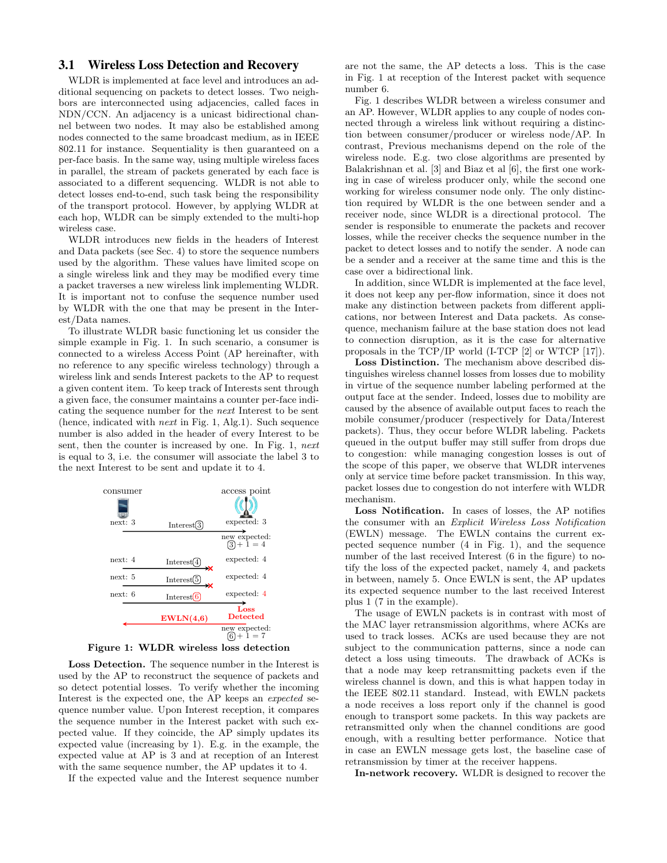#### 3.1 Wireless Loss Detection and Recovery

WLDR is implemented at face level and introduces an additional sequencing on packets to detect losses. Two neighbors are interconnected using adjacencies, called faces in NDN/CCN. An adjacency is a unicast bidirectional channel between two nodes. It may also be established among nodes connected to the same broadcast medium, as in IEEE 802.11 for instance. Sequentiality is then guaranteed on a per-face basis. In the same way, using multiple wireless faces in parallel, the stream of packets generated by each face is associated to a different sequencing. WLDR is not able to detect losses end-to-end, such task being the responsibility of the transport protocol. However, by applying WLDR at each hop, WLDR can be simply extended to the multi-hop wireless case.

WLDR introduces new fields in the headers of Interest and Data packets (see Sec. 4) to store the sequence numbers used by the algorithm. These values have limited scope on a single wireless link and they may be modified every time a packet traverses a new wireless link implementing WLDR. It is important not to confuse the sequence number used by WLDR with the one that may be present in the Interest/Data names.

To illustrate WLDR basic functioning let us consider the simple example in Fig. 1. In such scenario, a consumer is connected to a wireless Access Point (AP hereinafter, with no reference to any specific wireless technology) through a wireless link and sends Interest packets to the AP to request a given content item. To keep track of Interests sent through a given face, the consumer maintains a counter per-face indicating the sequence number for the next Interest to be sent (hence, indicated with next in Fig. 1, Alg.1). Such sequence number is also added in the header of every Interest to be sent, then the counter is increased by one. In Fig. 1, next is equal to 3, i.e. the consumer will associate the label 3 to the next Interest to be sent and update it to 4.





Loss Detection. The sequence number in the Interest is used by the AP to reconstruct the sequence of packets and so detect potential losses. To verify whether the incoming Interest is the expected one, the AP keeps an expected sequence number value. Upon Interest reception, it compares the sequence number in the Interest packet with such expected value. If they coincide, the AP simply updates its expected value (increasing by 1). E.g. in the example, the expected value at AP is 3 and at reception of an Interest with the same sequence number, the AP updates it to 4.

If the expected value and the Interest sequence number

are not the same, the AP detects a loss. This is the case in Fig. 1 at reception of the Interest packet with sequence number 6.

Fig. 1 describes WLDR between a wireless consumer and an AP. However, WLDR applies to any couple of nodes connected through a wireless link without requiring a distinction between consumer/producer or wireless node/AP. In contrast, Previous mechanisms depend on the role of the wireless node. E.g. two close algorithms are presented by Balakrishnan et al. [3] and Biaz et al [6], the first one working in case of wireless producer only, while the second one working for wireless consumer node only. The only distinction required by WLDR is the one between sender and a receiver node, since WLDR is a directional protocol. The sender is responsible to enumerate the packets and recover losses, while the receiver checks the sequence number in the packet to detect losses and to notify the sender. A node can be a sender and a receiver at the same time and this is the case over a bidirectional link.

In addition, since WLDR is implemented at the face level, it does not keep any per-flow information, since it does not make any distinction between packets from different applications, nor between Interest and Data packets. As consequence, mechanism failure at the base station does not lead to connection disruption, as it is the case for alternative proposals in the TCP/IP world (I-TCP [2] or WTCP [17]).

Loss Distinction. The mechanism above described distinguishes wireless channel losses from losses due to mobility in virtue of the sequence number labeling performed at the output face at the sender. Indeed, losses due to mobility are caused by the absence of available output faces to reach the mobile consumer/producer (respectively for Data/Interest packets). Thus, they occur before WLDR labeling. Packets queued in the output buffer may still suffer from drops due to congestion: while managing congestion losses is out of the scope of this paper, we observe that WLDR intervenes only at service time before packet transmission. In this way, packet losses due to congestion do not interfere with WLDR mechanism.

Loss Notification. In cases of losses, the AP notifies the consumer with an Explicit Wireless Loss Notification (EWLN) message. The EWLN contains the current expected sequence number (4 in Fig. 1), and the sequence number of the last received Interest (6 in the figure) to notify the loss of the expected packet, namely 4, and packets in between, namely 5. Once EWLN is sent, the AP updates its expected sequence number to the last received Interest plus 1 (7 in the example).

The usage of EWLN packets is in contrast with most of the MAC layer retransmission algorithms, where ACKs are used to track losses. ACKs are used because they are not subject to the communication patterns, since a node can detect a loss using timeouts. The drawback of ACKs is that a node may keep retransmitting packets even if the wireless channel is down, and this is what happen today in the IEEE 802.11 standard. Instead, with EWLN packets a node receives a loss report only if the channel is good enough to transport some packets. In this way packets are retransmitted only when the channel conditions are good enough, with a resulting better performance. Notice that in case an EWLN message gets lost, the baseline case of retransmission by timer at the receiver happens.

In-network recovery. WLDR is designed to recover the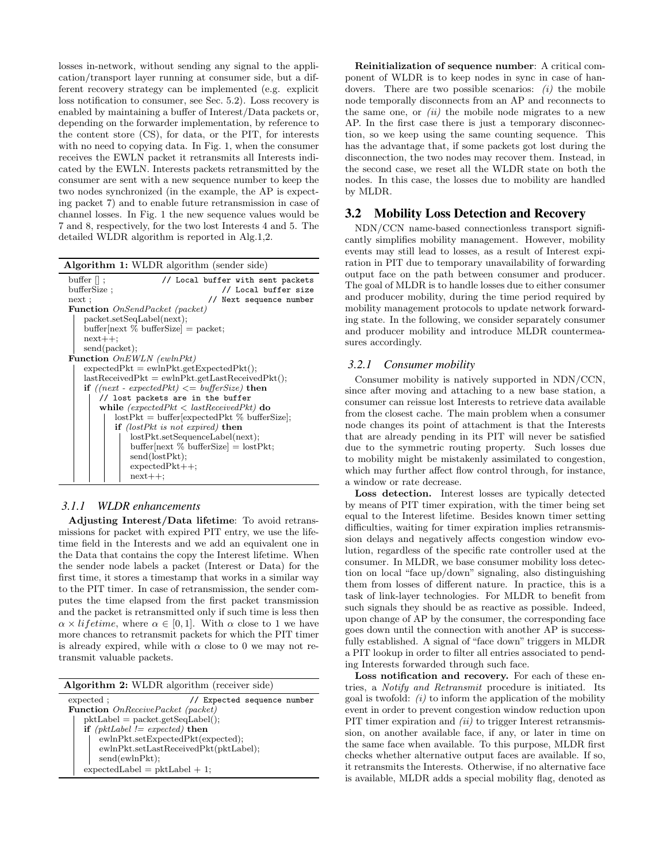losses in-network, without sending any signal to the application/transport layer running at consumer side, but a different recovery strategy can be implemented (e.g. explicit loss notification to consumer, see Sec. 5.2). Loss recovery is enabled by maintaining a buffer of Interest/Data packets or, depending on the forwarder implementation, by reference to the content store (CS), for data, or the PIT, for interests with no need to copying data. In Fig. 1, when the consumer receives the EWLN packet it retransmits all Interests indicated by the EWLN. Interests packets retransmitted by the consumer are sent with a new sequence number to keep the two nodes synchronized (in the example, the AP is expecting packet 7) and to enable future retransmission in case of channel losses. In Fig. 1 the new sequence values would be 7 and 8, respectively, for the two lost Interests 4 and 5. The detailed WLDR algorithm is reported in Alg.1,2.

| <b>Algorithm 1:</b> WLDR algorithm (sender side) |  |  |  |  |  |  |
|--------------------------------------------------|--|--|--|--|--|--|
|--------------------------------------------------|--|--|--|--|--|--|

| buffer $\lceil$ ;                                                | // Local buffer with sent packets                        |  |  |  |  |
|------------------------------------------------------------------|----------------------------------------------------------|--|--|--|--|
| bufferSize;                                                      | // Local buffer size                                     |  |  |  |  |
| next :                                                           | // Next sequence number                                  |  |  |  |  |
| <b>Function</b> OnSendPacket (packet)                            |                                                          |  |  |  |  |
| packet.setSeqLabel(next);                                        |                                                          |  |  |  |  |
| $buffer[next % bufferSize] = packet;$                            |                                                          |  |  |  |  |
| $next++$                                                         |                                                          |  |  |  |  |
| send(packet);                                                    |                                                          |  |  |  |  |
| <b>Function</b> $OnEWLN$ (ewlnPkt)                               |                                                          |  |  |  |  |
|                                                                  | $expectedPkt = \text{ewlnPkt.getExpectedPkt}$ ;          |  |  |  |  |
|                                                                  | $lastReceivedPtt = \text{ewln}Pkt.getLastReceivedPtt();$ |  |  |  |  |
| <b>if</b> $((next - expectedPkt) \leq but \leq frefersize)$ then |                                                          |  |  |  |  |
| // lost packets are in the buffer                                |                                                          |  |  |  |  |
| while $(expectedPkt < lastReceivedPkt)$ do                       |                                                          |  |  |  |  |
|                                                                  | $lostPkt = buffer[expectedPkt % bufferSize];$            |  |  |  |  |
|                                                                  | if (lostPkt is not expired) then                         |  |  |  |  |
|                                                                  | lostPkt.setSequenceLabel(next);                          |  |  |  |  |
|                                                                  | $buffer[next \% bufferSize] = lostPkt;$                  |  |  |  |  |
|                                                                  | send(lostPkt);                                           |  |  |  |  |
|                                                                  | $expectedPkt++;$                                         |  |  |  |  |
| $next++$                                                         |                                                          |  |  |  |  |

#### *3.1.1 WLDR enhancements*

Adjusting Interest/Data lifetime: To avoid retransmissions for packet with expired PIT entry, we use the lifetime field in the Interests and we add an equivalent one in the Data that contains the copy the Interest lifetime. When the sender node labels a packet (Interest or Data) for the first time, it stores a timestamp that works in a similar way to the PIT timer. In case of retransmission, the sender computes the time elapsed from the first packet transmission and the packet is retransmitted only if such time is less then  $\alpha \times lifetime$ , where  $\alpha \in [0,1]$ . With  $\alpha$  close to 1 we have more chances to retransmit packets for which the PIT timer is already expired, while with  $\alpha$  close to 0 we may not retransmit valuable packets.

| <b>Algorithm 2:</b> WLDR algorithm (receiver side) |                             |  |  |  |  |
|----------------------------------------------------|-----------------------------|--|--|--|--|
| expected :                                         | // Expected sequence number |  |  |  |  |
| <b>Function</b> OnReceivePacket (packet)           |                             |  |  |  |  |
| ${\rm pktLabel} = {\rm packet.getSeqLabel}();$     |                             |  |  |  |  |
| if ( <i>pktLabel != expected</i> ) then            |                             |  |  |  |  |
| ewlnPkt.setExpectedPkt(expected);                  |                             |  |  |  |  |
| ewlnPkt.setLastReceivedPkt(pktLabel);              |                             |  |  |  |  |
| send(ewlnPkt);                                     |                             |  |  |  |  |
| $expectedLabel = pltLabel + 1;$                    |                             |  |  |  |  |

Reinitialization of sequence number: A critical component of WLDR is to keep nodes in sync in case of handovers. There are two possible scenarios:  $(i)$  the mobile node temporally disconnects from an AP and reconnects to the same one, or  $(ii)$  the mobile node migrates to a new AP. In the first case there is just a temporary disconnection, so we keep using the same counting sequence. This has the advantage that, if some packets got lost during the disconnection, the two nodes may recover them. Instead, in the second case, we reset all the WLDR state on both the nodes. In this case, the losses due to mobility are handled by MLDR.

#### 3.2 Mobility Loss Detection and Recovery

NDN/CCN name-based connectionless transport significantly simplifies mobility management. However, mobility events may still lead to losses, as a result of Interest expiration in PIT due to temporary unavailability of forwarding output face on the path between consumer and producer. The goal of MLDR is to handle losses due to either consumer and producer mobility, during the time period required by mobility management protocols to update network forwarding state. In the following, we consider separately consumer and producer mobility and introduce MLDR countermeasures accordingly.

#### *3.2.1 Consumer mobility*

Consumer mobility is natively supported in NDN/CCN, since after moving and attaching to a new base station, a consumer can reissue lost Interests to retrieve data available from the closest cache. The main problem when a consumer node changes its point of attachment is that the Interests that are already pending in its PIT will never be satisfied due to the symmetric routing property. Such losses due to mobility might be mistakenly assimilated to congestion, which may further affect flow control through, for instance, a window or rate decrease.

Loss detection. Interest losses are typically detected by means of PIT timer expiration, with the timer being set equal to the Interest lifetime. Besides known timer setting difficulties, waiting for timer expiration implies retransmission delays and negatively affects congestion window evolution, regardless of the specific rate controller used at the consumer. In MLDR, we base consumer mobility loss detection on local "face up/down" signaling, also distinguishing them from losses of different nature. In practice, this is a task of link-layer technologies. For MLDR to benefit from such signals they should be as reactive as possible. Indeed, upon change of AP by the consumer, the corresponding face goes down until the connection with another AP is successfully established. A signal of "face down" triggers in MLDR a PIT lookup in order to filter all entries associated to pending Interests forwarded through such face.

Loss notification and recovery. For each of these entries, a Notify and Retransmit procedure is initiated. Its goal is twofold:  $(i)$  to inform the application of the mobility event in order to prevent congestion window reduction upon PIT timer expiration and  $(ii)$  to trigger Interest retransmission, on another available face, if any, or later in time on the same face when available. To this purpose, MLDR first checks whether alternative output faces are available. If so, it retransmits the Interests. Otherwise, if no alternative face is available, MLDR adds a special mobility flag, denoted as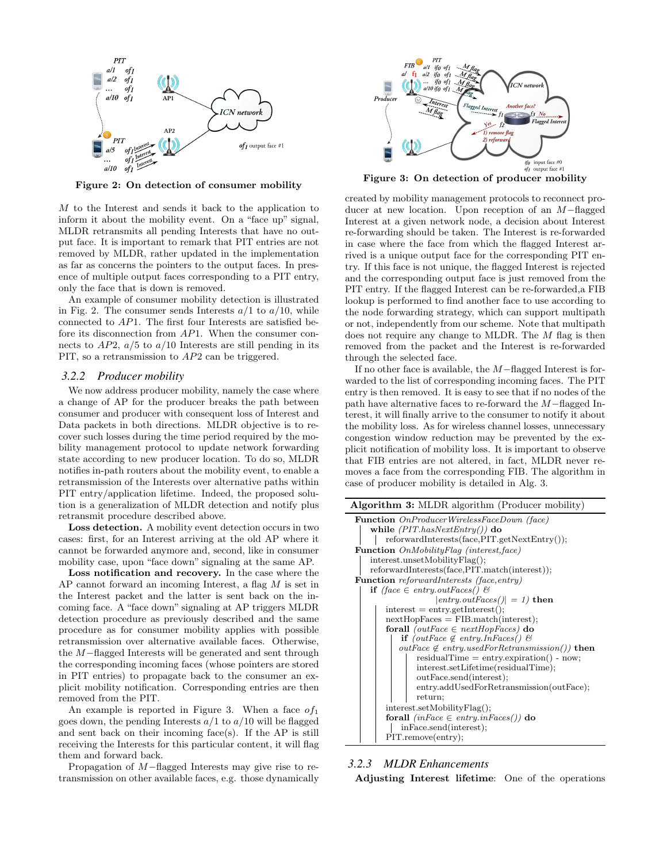

Figure 2: On detection of consumer mobility

M to the Interest and sends it back to the application to inform it about the mobility event. On a "face up" signal, MLDR retransmits all pending Interests that have no output face. It is important to remark that PIT entries are not removed by MLDR, rather updated in the implementation as far as concerns the pointers to the output faces. In presence of multiple output faces corresponding to a PIT entry, only the face that is down is removed.

An example of consumer mobility detection is illustrated in Fig. 2. The consumer sends Interests  $a/1$  to  $a/10$ , while connected to AP1. The first four Interests are satisfied before its disconnection from AP1. When the consumer connects to  $AP2$ ,  $a/5$  to  $a/10$  Interests are still pending in its PIT, so a retransmission to  $AP2$  can be triggered.

#### *3.2.2 Producer mobility*

We now address producer mobility, namely the case where a change of AP for the producer breaks the path between consumer and producer with consequent loss of Interest and Data packets in both directions. MLDR objective is to recover such losses during the time period required by the mobility management protocol to update network forwarding state according to new producer location. To do so, MLDR notifies in-path routers about the mobility event, to enable a retransmission of the Interests over alternative paths within PIT entry/application lifetime. Indeed, the proposed solution is a generalization of MLDR detection and notify plus retransmit procedure described above.

Loss detection. A mobility event detection occurs in two cases: first, for an Interest arriving at the old AP where it cannot be forwarded anymore and, second, like in consumer mobility case, upon "face down" signaling at the same AP.

Loss notification and recovery. In the case where the  $AP$  cannot forward an incoming Interest, a flag  $M$  is set in the Interest packet and the latter is sent back on the incoming face. A "face down" signaling at AP triggers MLDR detection procedure as previously described and the same procedure as for consumer mobility applies with possible retransmission over alternative available faces. Otherwise, the M−flagged Interests will be generated and sent through the corresponding incoming faces (whose pointers are stored in PIT entries) to propagate back to the consumer an explicit mobility notification. Corresponding entries are then removed from the PIT.

An example is reported in Figure 3. When a face  $of_1$ goes down, the pending Interests  $a/1$  to  $a/10$  will be flagged and sent back on their incoming face(s). If the AP is still receiving the Interests for this particular content, it will flag them and forward back.

Propagation of M−flagged Interests may give rise to retransmission on other available faces, e.g. those dynamically



created by mobility management protocols to reconnect producer at new location. Upon reception of an M−flagged Interest at a given network node, a decision about Interest re-forwarding should be taken. The Interest is re-forwarded in case where the face from which the flagged Interest arrived is a unique output face for the corresponding PIT entry. If this face is not unique, the flagged Interest is rejected and the corresponding output face is just removed from the PIT entry. If the flagged Interest can be re-forwarded,a FIB lookup is performed to find another face to use according to the node forwarding strategy, which can support multipath or not, independently from our scheme. Note that multipath does not require any change to MLDR. The M flag is then removed from the packet and the Interest is re-forwarded through the selected face.

If no other face is available, the M−flagged Interest is forwarded to the list of corresponding incoming faces. The PIT entry is then removed. It is easy to see that if no nodes of the path have alternative faces to re-forward the M−flagged Interest, it will finally arrive to the consumer to notify it about the mobility loss. As for wireless channel losses, unnecessary congestion window reduction may be prevented by the explicit notification of mobility loss. It is important to observe that FIB entries are not altered, in fact, MLDR never removes a face from the corresponding FIB. The algorithm in case of producer mobility is detailed in Alg. 3.

| <b>Algorithm 3:</b> MLDR algorithm (Producer mobility)                                |  |  |  |  |
|---------------------------------------------------------------------------------------|--|--|--|--|
| <b>Function</b> OnProducerWirelessFaceDown (face)<br>while $(PIT. hasNextEntry())$ do |  |  |  |  |
| $reforwardInterests(face, PIT.getNextEntry());$                                       |  |  |  |  |
| <b>Function</b> OnMobilityFlaq (interest, face)                                       |  |  |  |  |
| interest.unsetMobilityFlag();                                                         |  |  |  |  |
| reforwardInterests(face,PIT.match(interest));                                         |  |  |  |  |
| <b>Function</b> reforwardInterests (face, entry)                                      |  |  |  |  |
| <b>if</b> (face $\in$ entry.outFaces() $\&$<br>$ entry.outFaces() = 1$ ) then         |  |  |  |  |
| $interest = entry.getInterest();$                                                     |  |  |  |  |
| $nextHopFaces = FIB.math(interest);$                                                  |  |  |  |  |
| forall ( <i>outFace</i> $\in$ <i>nextHopFaces</i> ) do                                |  |  |  |  |
| <b>if</b> (outFace $\notin$ entry. InFaces() $\&$                                     |  |  |  |  |
| $outFace \notin entry. used ForRetransmission())$ then                                |  |  |  |  |
| $residualTime = entry-expiration() - now;$                                            |  |  |  |  |
| interest.setLifetime(residualTime);                                                   |  |  |  |  |
| outFace.send(interest);                                                               |  |  |  |  |
| entry.addUsedForRetransmission(outFace);                                              |  |  |  |  |
| return;                                                                               |  |  |  |  |
| interest.setMobilityFlag();                                                           |  |  |  |  |
| forall $(inFace \in entry.infaces())$ do                                              |  |  |  |  |
| inFace.send(interest);                                                                |  |  |  |  |
| PIT.remove(entry);                                                                    |  |  |  |  |

#### *3.2.3 MLDR Enhancements*

Adjusting Interest lifetime: One of the operations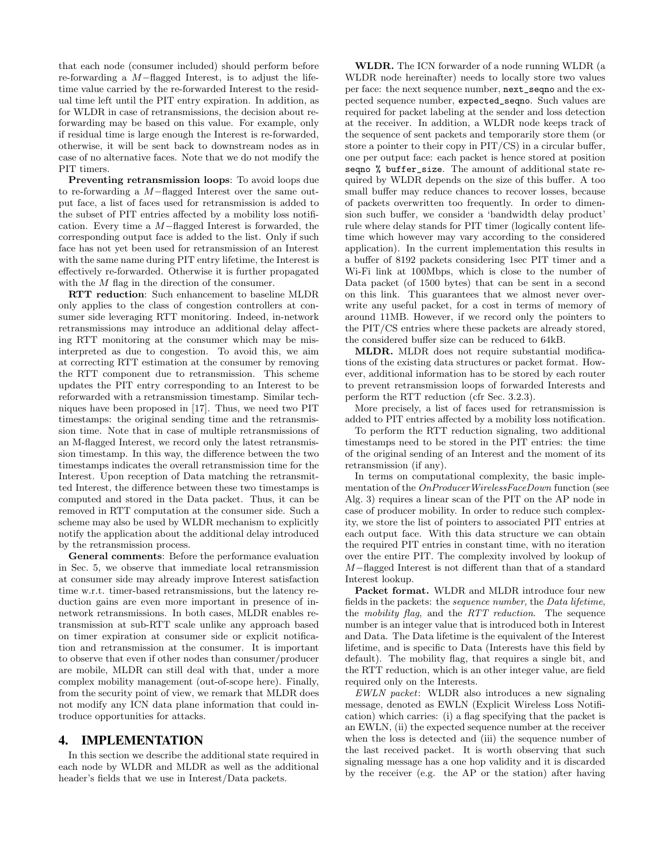that each node (consumer included) should perform before re-forwarding a M−flagged Interest, is to adjust the lifetime value carried by the re-forwarded Interest to the residual time left until the PIT entry expiration. In addition, as for WLDR in case of retransmissions, the decision about reforwarding may be based on this value. For example, only if residual time is large enough the Interest is re-forwarded, otherwise, it will be sent back to downstream nodes as in case of no alternative faces. Note that we do not modify the PIT timers.

Preventing retransmission loops: To avoid loops due to re-forwarding a M−flagged Interest over the same output face, a list of faces used for retransmission is added to the subset of PIT entries affected by a mobility loss notification. Every time a M−flagged Interest is forwarded, the corresponding output face is added to the list. Only if such face has not yet been used for retransmission of an Interest with the same name during PIT entry lifetime, the Interest is effectively re-forwarded. Otherwise it is further propagated with the M flag in the direction of the consumer.

RTT reduction: Such enhancement to baseline MLDR only applies to the class of congestion controllers at consumer side leveraging RTT monitoring. Indeed, in-network retransmissions may introduce an additional delay affecting RTT monitoring at the consumer which may be misinterpreted as due to congestion. To avoid this, we aim at correcting RTT estimation at the consumer by removing the RTT component due to retransmission. This scheme updates the PIT entry corresponding to an Interest to be reforwarded with a retransmission timestamp. Similar techniques have been proposed in [17]. Thus, we need two PIT timestamps: the original sending time and the retransmission time. Note that in case of multiple retransmissions of an M-flagged Interest, we record only the latest retransmission timestamp. In this way, the difference between the two timestamps indicates the overall retransmission time for the Interest. Upon reception of Data matching the retransmitted Interest, the difference between these two timestamps is computed and stored in the Data packet. Thus, it can be removed in RTT computation at the consumer side. Such a scheme may also be used by WLDR mechanism to explicitly notify the application about the additional delay introduced by the retransmission process.

General comments: Before the performance evaluation in Sec. 5, we observe that immediate local retransmission at consumer side may already improve Interest satisfaction time w.r.t. timer-based retransmissions, but the latency reduction gains are even more important in presence of innetwork retransmissions. In both cases, MLDR enables retransmission at sub-RTT scale unlike any approach based on timer expiration at consumer side or explicit notification and retransmission at the consumer. It is important to observe that even if other nodes than consumer/producer are mobile, MLDR can still deal with that, under a more complex mobility management (out-of-scope here). Finally, from the security point of view, we remark that MLDR does not modify any ICN data plane information that could introduce opportunities for attacks.

#### 4. IMPLEMENTATION

In this section we describe the additional state required in each node by WLDR and MLDR as well as the additional header's fields that we use in Interest/Data packets.

WLDR. The ICN forwarder of a node running WLDR (a WLDR node hereinafter) needs to locally store two values per face: the next sequence number, next\_seqno and the expected sequence number, expected\_seqno. Such values are required for packet labeling at the sender and loss detection at the receiver. In addition, a WLDR node keeps track of the sequence of sent packets and temporarily store them (or store a pointer to their copy in PIT/CS) in a circular buffer, one per output face: each packet is hence stored at position seqno % buffer\_size. The amount of additional state required by WLDR depends on the size of this buffer. A too small buffer may reduce chances to recover losses, because of packets overwritten too frequently. In order to dimension such buffer, we consider a 'bandwidth delay product' rule where delay stands for PIT timer (logically content lifetime which however may vary according to the considered application). In the current implementation this results in a buffer of 8192 packets considering 1sec PIT timer and a Wi-Fi link at 100Mbps, which is close to the number of Data packet (of 1500 bytes) that can be sent in a second on this link. This guarantees that we almost never overwrite any useful packet, for a cost in terms of memory of around 11MB. However, if we record only the pointers to the PIT/CS entries where these packets are already stored, the considered buffer size can be reduced to 64kB.

MLDR. MLDR does not require substantial modifications of the existing data structures or packet format. However, additional information has to be stored by each router to prevent retransmission loops of forwarded Interests and perform the RTT reduction (cfr Sec. 3.2.3).

More precisely, a list of faces used for retransmission is added to PIT entries affected by a mobility loss notification.

To perform the RTT reduction signaling, two additional timestamps need to be stored in the PIT entries: the time of the original sending of an Interest and the moment of its retransmission (if any).

In terms on computational complexity, the basic implementation of the *OnProducerWirelessFaceDown* function (see Alg. 3) requires a linear scan of the PIT on the AP node in case of producer mobility. In order to reduce such complexity, we store the list of pointers to associated PIT entries at each output face. With this data structure we can obtain the required PIT entries in constant time, with no iteration over the entire PIT. The complexity involved by lookup of M−flagged Interest is not different than that of a standard Interest lookup.

Packet format. WLDR and MLDR introduce four new fields in the packets: the sequence number, the Data lifetime, the mobility flag, and the RTT reduction. The sequence number is an integer value that is introduced both in Interest and Data. The Data lifetime is the equivalent of the Interest lifetime, and is specific to Data (Interests have this field by default). The mobility flag, that requires a single bit, and the RTT reduction, which is an other integer value, are field required only on the Interests.

EWLN packet: WLDR also introduces a new signaling message, denoted as EWLN (Explicit Wireless Loss Notification) which carries: (i) a flag specifying that the packet is an EWLN, (ii) the expected sequence number at the receiver when the loss is detected and (iii) the sequence number of the last received packet. It is worth observing that such signaling message has a one hop validity and it is discarded by the receiver (e.g. the AP or the station) after having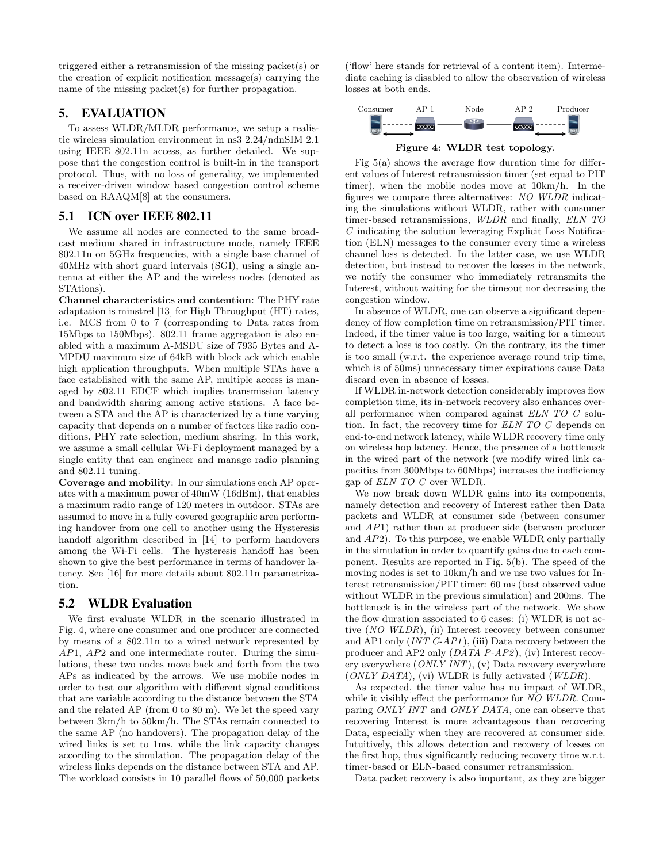triggered either a retransmission of the missing packet(s) or the creation of explicit notification message(s) carrying the name of the missing packet(s) for further propagation.

## 5. EVALUATION

To assess WLDR/MLDR performance, we setup a realistic wireless simulation environment in ns3 2.24/ndnSIM 2.1 using IEEE 802.11n access, as further detailed. We suppose that the congestion control is built-in in the transport protocol. Thus, with no loss of generality, we implemented a receiver-driven window based congestion control scheme based on RAAQM[8] at the consumers.

## 5.1 ICN over IEEE 802.11

We assume all nodes are connected to the same broadcast medium shared in infrastructure mode, namely IEEE 802.11n on 5GHz frequencies, with a single base channel of 40MHz with short guard intervals (SGI), using a single antenna at either the AP and the wireless nodes (denoted as STAtions).

Channel characteristics and contention: The PHY rate adaptation is minstrel [13] for High Throughput (HT) rates, i.e. MCS from 0 to 7 (corresponding to Data rates from 15Mbps to 150Mbps). 802.11 frame aggregation is also enabled with a maximum A-MSDU size of 7935 Bytes and A-MPDU maximum size of 64kB with block ack which enable high application throughputs. When multiple STAs have a face established with the same AP, multiple access is managed by 802.11 EDCF which implies transmission latency and bandwidth sharing among active stations. A face between a STA and the AP is characterized by a time varying capacity that depends on a number of factors like radio conditions, PHY rate selection, medium sharing. In this work, we assume a small cellular Wi-Fi deployment managed by a single entity that can engineer and manage radio planning and 802.11 tuning.

Coverage and mobility: In our simulations each AP operates with a maximum power of 40mW (16dBm), that enables a maximum radio range of 120 meters in outdoor. STAs are assumed to move in a fully covered geographic area performing handover from one cell to another using the Hysteresis handoff algorithm described in [14] to perform handovers among the Wi-Fi cells. The hysteresis handoff has been shown to give the best performance in terms of handover latency. See [16] for more details about 802.11n parametrization.

### 5.2 WLDR Evaluation

We first evaluate WLDR in the scenario illustrated in Fig. 4, where one consumer and one producer are connected by means of a 802.11n to a wired network represented by AP1, AP2 and one intermediate router. During the simulations, these two nodes move back and forth from the two APs as indicated by the arrows. We use mobile nodes in order to test our algorithm with different signal conditions that are variable according to the distance between the STA and the related AP (from 0 to 80 m). We let the speed vary between 3km/h to 50km/h. The STAs remain connected to the same AP (no handovers). The propagation delay of the wired links is set to 1ms, while the link capacity changes according to the simulation. The propagation delay of the wireless links depends on the distance between STA and AP. The workload consists in 10 parallel flows of 50,000 packets ('flow' here stands for retrieval of a content item). Intermediate caching is disabled to allow the observation of wireless losses at both ends.





Fig 5(a) shows the average flow duration time for different values of Interest retransmission timer (set equal to PIT timer), when the mobile nodes move at 10km/h. In the figures we compare three alternatives: NO WLDR indicating the simulations without WLDR, rather with consumer timer-based retransmissions, WLDR and finally, ELN TO  $C$  indicating the solution leveraging Explicit Loss Notification (ELN) messages to the consumer every time a wireless channel loss is detected. In the latter case, we use WLDR detection, but instead to recover the losses in the network, we notify the consumer who immediately retransmits the Interest, without waiting for the timeout nor decreasing the congestion window.

In absence of WLDR, one can observe a significant dependency of flow completion time on retransmission/PIT timer. Indeed, if the timer value is too large, waiting for a timeout to detect a loss is too costly. On the contrary, its the timer is too small (w.r.t. the experience average round trip time, which is of 50ms) unnecessary timer expirations cause Data discard even in absence of losses.

If WLDR in-network detection considerably improves flow completion time, its in-network recovery also enhances overall performance when compared against ELN TO C solution. In fact, the recovery time for ELN TO C depends on end-to-end network latency, while WLDR recovery time only on wireless hop latency. Hence, the presence of a bottleneck in the wired part of the network (we modify wired link capacities from 300Mbps to 60Mbps) increases the inefficiency gap of ELN TO C over WLDR.

We now break down WLDR gains into its components, namely detection and recovery of Interest rather then Data packets and WLDR at consumer side (between consumer and AP1) rather than at producer side (between producer and AP2). To this purpose, we enable WLDR only partially in the simulation in order to quantify gains due to each component. Results are reported in Fig. 5(b). The speed of the moving nodes is set to 10km/h and we use two values for Interest retransmission/PIT timer: 60 ms (best observed value without WLDR in the previous simulation) and 200ms. The bottleneck is in the wireless part of the network. We show the flow duration associated to 6 cases: (i) WLDR is not active (NO WLDR), (ii) Interest recovery between consumer and AP1 only  $(INT C-API)$ , (iii) Data recovery between the producer and AP2 only (DATA P-AP2 ), (iv) Interest recovery everywhere (ONLY INT), (v) Data recovery everywhere (ONLY DATA), (vi) WLDR is fully activated (WLDR).

As expected, the timer value has no impact of WLDR, while it visibly effect the performance for NO WLDR. Comparing ONLY INT and ONLY DATA, one can observe that recovering Interest is more advantageous than recovering Data, especially when they are recovered at consumer side. Intuitively, this allows detection and recovery of losses on the first hop, thus significantly reducing recovery time w.r.t. timer-based or ELN-based consumer retransmission.

Data packet recovery is also important, as they are bigger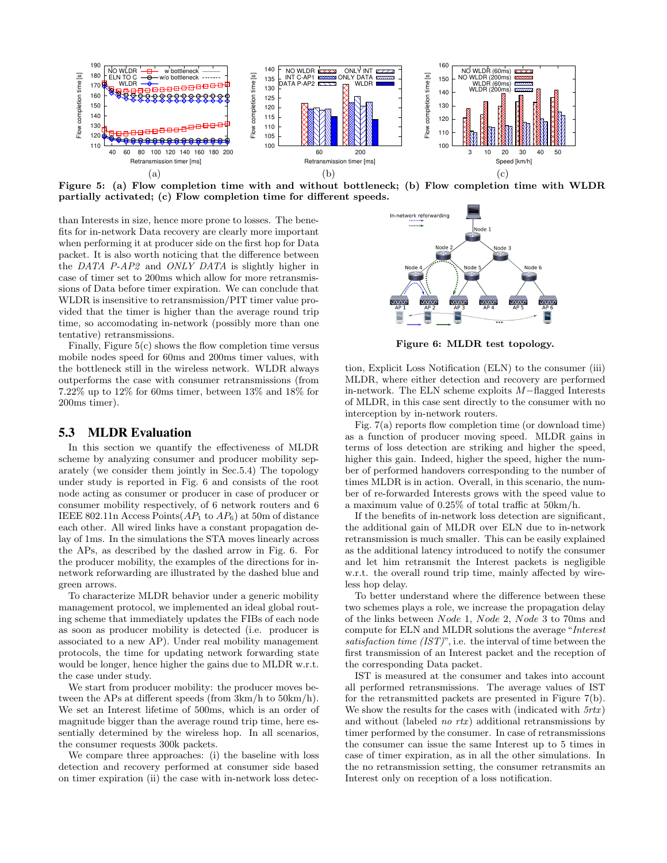

Figure 5: (a) Flow completion time with and without bottleneck; (b) Flow completion time with WLDR partially activated; (c) Flow completion time for different speeds.

than Interests in size, hence more prone to losses. The benefits for in-network Data recovery are clearly more important when performing it at producer side on the first hop for Data packet. It is also worth noticing that the difference between the DATA P-AP2 and ONLY DATA is slightly higher in case of timer set to 200ms which allow for more retransmissions of Data before timer expiration. We can conclude that WLDR is insensitive to retransmission/PIT timer value provided that the timer is higher than the average round trip time, so accomodating in-network (possibly more than one tentative) retransmissions.

Finally, Figure 5(c) shows the flow completion time versus mobile nodes speed for 60ms and 200ms timer values, with the bottleneck still in the wireless network. WLDR always outperforms the case with consumer retransmissions (from 7.22% up to 12% for 60ms timer, between 13% and 18% for 200ms timer).

#### 5.3 MLDR Evaluation

In this section we quantify the effectiveness of MLDR scheme by analyzing consumer and producer mobility separately (we consider them jointly in Sec.5.4) The topology under study is reported in Fig. 6 and consists of the root node acting as consumer or producer in case of producer or consumer mobility respectively, of 6 network routers and 6 IEEE 802.11n Access Points $(AP_1$  to  $AP_6$ ) at 50m of distance each other. All wired links have a constant propagation delay of 1ms. In the simulations the STA moves linearly across the APs, as described by the dashed arrow in Fig. 6. For the producer mobility, the examples of the directions for innetwork reforwarding are illustrated by the dashed blue and green arrows.

To characterize MLDR behavior under a generic mobility management protocol, we implemented an ideal global routing scheme that immediately updates the FIBs of each node as soon as producer mobility is detected (i.e. producer is associated to a new AP). Under real mobility management protocols, the time for updating network forwarding state would be longer, hence higher the gains due to MLDR w.r.t. the case under study.

We start from producer mobility: the producer moves between the APs at different speeds (from 3km/h to 50km/h). We set an Interest lifetime of 500ms, which is an order of magnitude bigger than the average round trip time, here essentially determined by the wireless hop. In all scenarios, the consumer requests 300k packets.

We compare three approaches: (i) the baseline with loss detection and recovery performed at consumer side based on timer expiration (ii) the case with in-network loss detec-



Figure 6: MLDR test topology.

tion, Explicit Loss Notification (ELN) to the consumer (iii) MLDR, where either detection and recovery are performed in-network. The ELN scheme exploits M−flagged Interests of MLDR, in this case sent directly to the consumer with no interception by in-network routers.

Fig. 7(a) reports flow completion time (or download time) as a function of producer moving speed. MLDR gains in terms of loss detection are striking and higher the speed, higher this gain. Indeed, higher the speed, higher the number of performed handovers corresponding to the number of times MLDR is in action. Overall, in this scenario, the number of re-forwarded Interests grows with the speed value to a maximum value of 0.25% of total traffic at 50km/h.

If the benefits of in-network loss detection are significant, the additional gain of MLDR over ELN due to in-network retransmission is much smaller. This can be easily explained as the additional latency introduced to notify the consumer and let him retransmit the Interest packets is negligible w.r.t. the overall round trip time, mainly affected by wireless hop delay.

To better understand where the difference between these two schemes plays a role, we increase the propagation delay of the links between Node 1, Node 2, Node 3 to 70ms and compute for ELN and MLDR solutions the average "Interest satisfaction time  $(IST)$ ", i.e. the interval of time between the first transmission of an Interest packet and the reception of the corresponding Data packet.

IST is measured at the consumer and takes into account all performed retransmissions. The average values of IST for the retransmitted packets are presented in Figure 7(b). We show the results for the cases with (indicated with  $5rtx$ ) and without (labeled *no*  $rtx$ ) additional retransmissions by timer performed by the consumer. In case of retransmissions the consumer can issue the same Interest up to 5 times in case of timer expiration, as in all the other simulations. In the no retransmission setting, the consumer retransmits an Interest only on reception of a loss notification.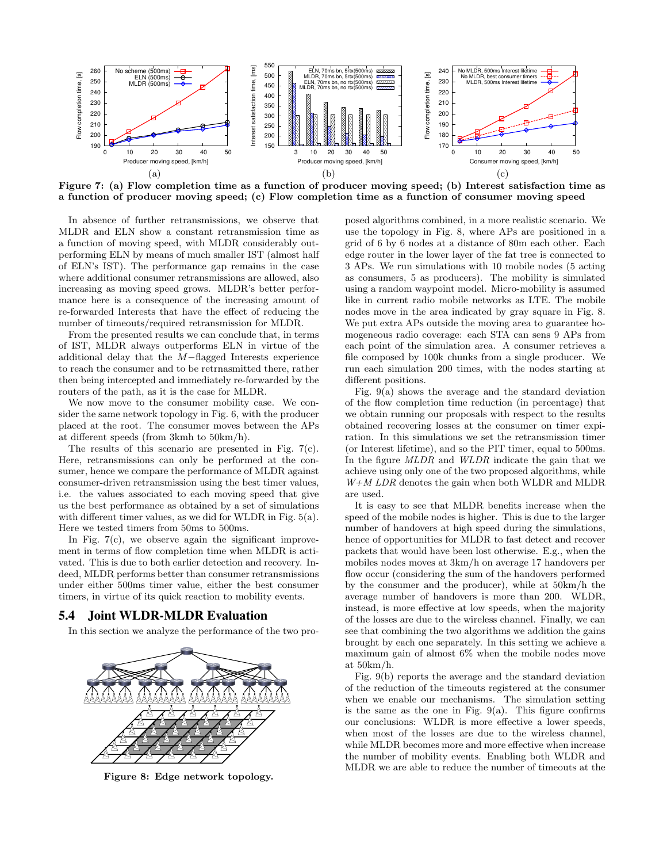

Figure 7: (a) Flow completion time as a function of producer moving speed; (b) Interest satisfaction time as a function of producer moving speed; (c) Flow completion time as a function of consumer moving speed

In absence of further retransmissions, we observe that MLDR and ELN show a constant retransmission time as a function of moving speed, with MLDR considerably outperforming ELN by means of much smaller IST (almost half of ELN's IST). The performance gap remains in the case where additional consumer retransmissions are allowed, also increasing as moving speed grows. MLDR's better performance here is a consequence of the increasing amount of re-forwarded Interests that have the effect of reducing the number of timeouts/required retransmission for MLDR.

From the presented results we can conclude that, in terms of IST, MLDR always outperforms ELN in virtue of the additional delay that the M−flagged Interests experience to reach the consumer and to be retrnasmitted there, rather then being intercepted and immediately re-forwarded by the routers of the path, as it is the case for MLDR.

We now move to the consumer mobility case. We consider the same network topology in Fig. 6, with the producer placed at the root. The consumer moves between the APs at different speeds (from 3kmh to 50km/h).

The results of this scenario are presented in Fig. 7(c). Here, retransmissions can only be performed at the consumer, hence we compare the performance of MLDR against consumer-driven retransmission using the best timer values, i.e. the values associated to each moving speed that give us the best performance as obtained by a set of simulations with different timer values, as we did for WLDR in Fig.  $5(a)$ . Here we tested timers from 50ms to 500ms.

In Fig.  $7(c)$ , we observe again the significant improvement in terms of flow completion time when MLDR is activated. This is due to both earlier detection and recovery. Indeed, MLDR performs better than consumer retransmissions under either 500ms timer value, either the best consumer timers, in virtue of its quick reaction to mobility events.

#### 5.4 Joint WLDR-MLDR Evaluation

In this section we analyze the performance of the two pro-



Figure 8: Edge network topology.

posed algorithms combined, in a more realistic scenario. We use the topology in Fig. 8, where APs are positioned in a grid of 6 by 6 nodes at a distance of 80m each other. Each edge router in the lower layer of the fat tree is connected to 3 APs. We run simulations with 10 mobile nodes (5 acting as consumers, 5 as producers). The mobility is simulated using a random waypoint model. Micro-mobility is assumed like in current radio mobile networks as LTE. The mobile nodes move in the area indicated by gray square in Fig. 8. We put extra APs outside the moving area to guarantee homogeneous radio coverage: each STA can sens 9 APs from each point of the simulation area. A consumer retrieves a file composed by 100k chunks from a single producer. We run each simulation 200 times, with the nodes starting at different positions.

Fig. 9(a) shows the average and the standard deviation of the flow completion time reduction (in percentage) that we obtain running our proposals with respect to the results obtained recovering losses at the consumer on timer expiration. In this simulations we set the retransmission timer (or Interest lifetime), and so the PIT timer, equal to 500ms. In the figure MLDR and WLDR indicate the gain that we achieve using only one of the two proposed algorithms, while  $W+M$  LDR denotes the gain when both WLDR and MLDR are used.

It is easy to see that MLDR benefits increase when the speed of the mobile nodes is higher. This is due to the larger number of handovers at high speed during the simulations, hence of opportunities for MLDR to fast detect and recover packets that would have been lost otherwise. E.g., when the mobiles nodes moves at 3km/h on average 17 handovers per flow occur (considering the sum of the handovers performed by the consumer and the producer), while at 50km/h the average number of handovers is more than 200. WLDR, instead, is more effective at low speeds, when the majority of the losses are due to the wireless channel. Finally, we can see that combining the two algorithms we addition the gains brought by each one separately. In this setting we achieve a maximum gain of almost 6% when the mobile nodes move at 50km/h.

Fig. 9(b) reports the average and the standard deviation of the reduction of the timeouts registered at the consumer when we enable our mechanisms. The simulation setting is the same as the one in Fig.  $9(a)$ . This figure confirms our conclusions: WLDR is more effective a lower speeds, when most of the losses are due to the wireless channel, while MLDR becomes more and more effective when increase the number of mobility events. Enabling both WLDR and MLDR we are able to reduce the number of timeouts at the